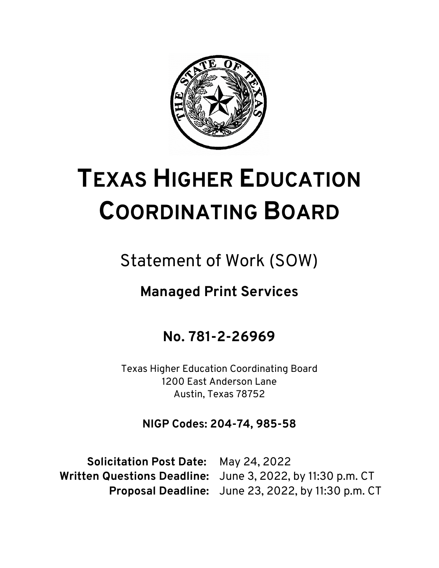

# **TEXAS HIGHER EDUCATION COORDINATING BOARD**

# Statement of Work (SOW)

## **Managed Print Services**

### **No. 781-2-26969**

Texas Higher Education Coordinating Board 1200 East Anderson Lane Austin, Texas 78752

**NIGP Codes: 204-74, 985-58**

**Solicitation Post Date:** May 24, 2022

**Written Questions Deadline:** June 3, 2022, by 11:30 p.m. CT **Proposal Deadline:** June 23, 2022, by 11:30 p.m. CT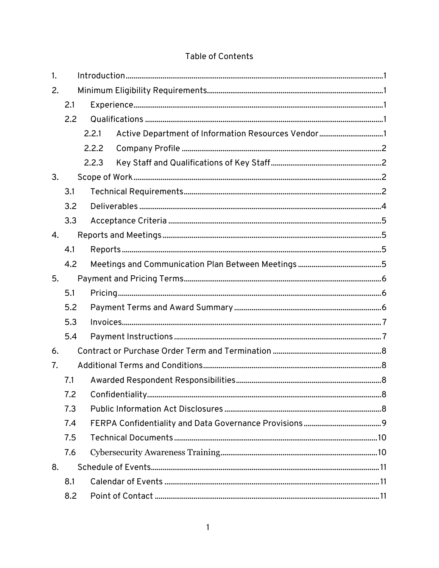#### **Table of Contents**

| 1. |     |       |                                                    |  |  |  |
|----|-----|-------|----------------------------------------------------|--|--|--|
| 2. |     |       |                                                    |  |  |  |
|    | 2.1 |       |                                                    |  |  |  |
|    | 2.2 |       |                                                    |  |  |  |
|    |     | 2.2.1 | Active Department of Information Resources Vendor1 |  |  |  |
|    |     | 2.2.2 |                                                    |  |  |  |
|    |     | 2.2.3 |                                                    |  |  |  |
| 3. |     |       |                                                    |  |  |  |
|    | 3.1 |       |                                                    |  |  |  |
|    | 3.2 |       |                                                    |  |  |  |
|    | 3.3 |       |                                                    |  |  |  |
| 4. |     |       |                                                    |  |  |  |
|    | 4.1 |       |                                                    |  |  |  |
|    | 4.2 |       |                                                    |  |  |  |
| 5. |     |       |                                                    |  |  |  |
|    | 5.1 |       |                                                    |  |  |  |
|    | 5.2 |       |                                                    |  |  |  |
|    | 5.3 |       |                                                    |  |  |  |
|    | 5.4 |       |                                                    |  |  |  |
| 6. |     |       |                                                    |  |  |  |
| 7. |     |       |                                                    |  |  |  |
|    | 7.1 |       |                                                    |  |  |  |
|    | 7.2 |       |                                                    |  |  |  |
|    | 7.3 |       |                                                    |  |  |  |
|    | 7.4 |       |                                                    |  |  |  |
|    | 7.5 |       |                                                    |  |  |  |
|    | 7.6 |       |                                                    |  |  |  |
| 8. |     |       |                                                    |  |  |  |
|    | 8.1 |       |                                                    |  |  |  |
|    | 8.2 |       |                                                    |  |  |  |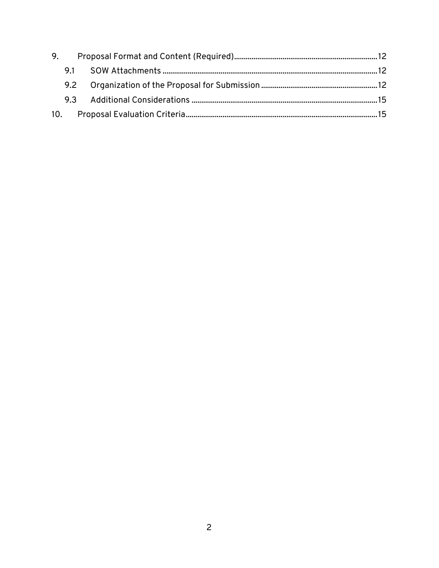| 9. |     |  |  |  |
|----|-----|--|--|--|
|    |     |  |  |  |
|    | 9.2 |  |  |  |
|    |     |  |  |  |
|    |     |  |  |  |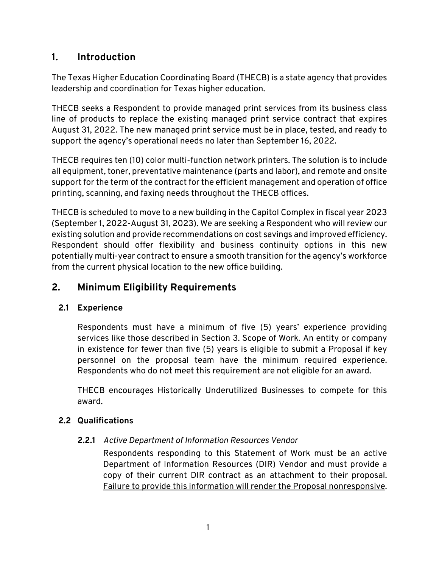#### <span id="page-3-0"></span>**1. Introduction**

The Texas Higher Education Coordinating Board (THECB) is a state agency that provides leadership and coordination for Texas higher education.

THECB seeks a Respondent to provide managed print services from its business class line of products to replace the existing managed print service contract that expires August 31, 2022. The new managed print service must be in place, tested, and ready to support the agency's operational needs no later than September 16, 2022.

THECB requires ten (10) color multi-function network printers. The solution is to include all equipment, toner, preventative maintenance (parts and labor), and remote and onsite support for the term of the contract for the efficient management and operation of office printing, scanning, and faxing needs throughout the THECB offices.

THECB is scheduled to move to a new building in the Capitol Complex in fiscal year 2023 (September 1, 2022-August 31, 2023). We are seeking a Respondent who will review our existing solution and provide recommendations on cost savings and improved efficiency. Respondent should offer flexibility and business continuity options in this new potentially multi-year contract to ensure a smooth transition for the agency's workforce from the current physical location to the new office building.

#### <span id="page-3-1"></span>**2. Minimum Eligibility Requirements**

#### <span id="page-3-2"></span>**2.1 Experience**

Respondents must have a minimum of five (5) years' experience providing services like those described in Section 3. Scope of Work. An entity or company in existence for fewer than five (5) years is eligible to submit a Proposal if key personnel on the proposal team have the minimum required experience. Respondents who do not meet this requirement are not eligible for an award.

THECB encourages Historically Underutilized Businesses to compete for this award.

#### <span id="page-3-4"></span><span id="page-3-3"></span>**2.2 Qualifications**

#### **2.2.1** *Active Department of Information Resources Vendor*

Respondents responding to this Statement of Work must be an active Department of Information Resources (DIR) Vendor and must provide a copy of their current DIR contract as an attachment to their proposal. Failure to provide this information will render the Proposal nonresponsive.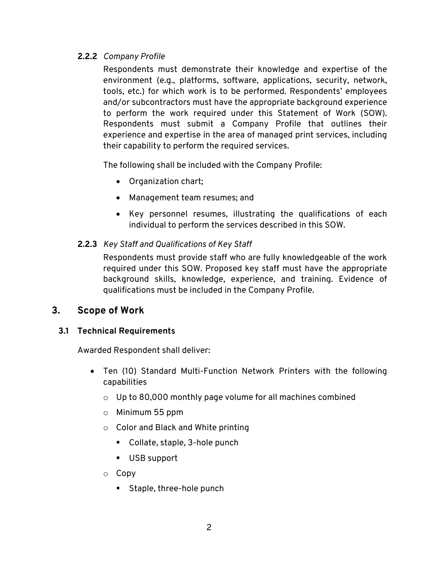#### <span id="page-4-0"></span>**2.2.2** *Company Profile*

Respondents must demonstrate their knowledge and expertise of the environment (e.g., platforms, software, applications, security, network, tools, etc.) for which work is to be performed. Respondents' employees and/or subcontractors must have the appropriate background experience to perform the work required under this Statement of Work (SOW). Respondents must submit a Company Profile that outlines their experience and expertise in the area of managed print services, including their capability to perform the required services.

The following shall be included with the Company Profile:

- Organization chart;
- Management team resumes; and
- Key personnel resumes, illustrating the qualifications of each individual to perform the services described in this SOW.

#### <span id="page-4-1"></span>**2.2.3** *Key Staff and Qualifications of Key Staff*

Respondents must provide staff who are fully knowledgeable of the work required under this SOW. Proposed key staff must have the appropriate background skills, knowledge, experience, and training. Evidence of qualifications must be included in the Company Profile.

#### <span id="page-4-2"></span>**3. Scope of Work**

#### <span id="page-4-3"></span>**3.1 Technical Requirements**

Awarded Respondent shall deliver:

- Ten (10) Standard Multi-Function Network Printers with the following capabilities
	- $\circ$  Up to 80,000 monthly page volume for all machines combined
	- o Minimum 55 ppm
	- o Color and Black and White printing
		- Collate, staple, 3-hole punch
		- USB support
	- o Copy
		- **Staple, three-hole punch**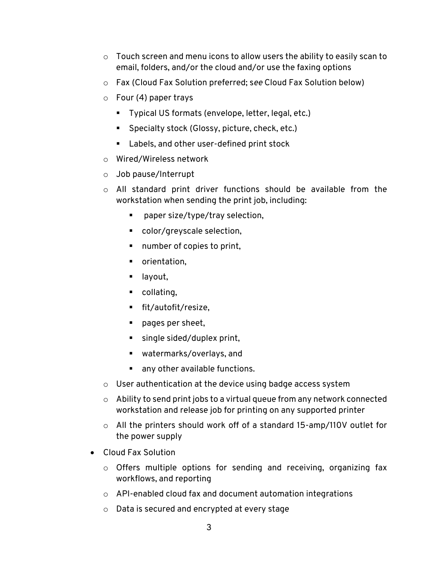- $\circ$  Touch screen and menu icons to allow users the ability to easily scan to email, folders, and/or the cloud and/or use the faxing options
- o Fax (Cloud Fax Solution preferred; s*ee* Cloud Fax Solution below)
- $\circ$  Four (4) paper trays
	- Typical US formats (envelope, letter, legal, etc.)
	- Specialty stock (Glossy, picture, check, etc.)
	- **EXEC** Labels, and other user-defined print stock
- o Wired/Wireless network
- o Job pause/Interrupt
- o All standard print driver functions should be available from the workstation when sending the print job, including:
	- paper size/type/tray selection,
	- color/greyscale selection,
	- number of copies to print,
	- **•** orientation,
	- **g** layout,
	- **•** collating,
	- fit/autofit/resize,
	- pages per sheet,
	- single sided/duplex print,
	- watermarks/overlays, and
	- any other available functions.
- $\circ$  User authentication at the device using badge access system
- $\circ$  Ability to send print jobs to a virtual queue from any network connected workstation and release job for printing on any supported printer
- o All the printers should work off of a standard 15-amp/110V outlet for the power supply
- Cloud Fax Solution
	- o Offers multiple options for sending and receiving, organizing fax workflows, and reporting
	- o API-enabled cloud fax and document automation integrations
	- o Data is secured and encrypted at every stage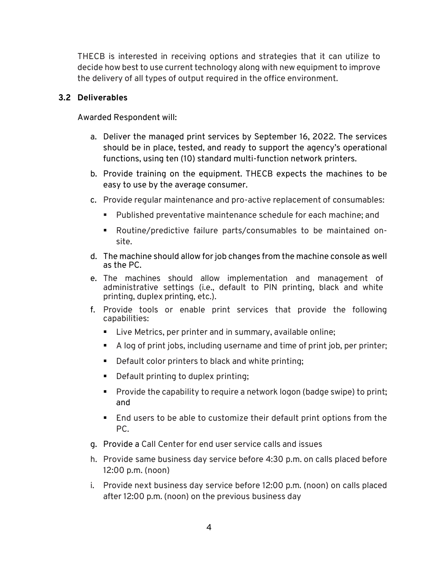THECB is interested in receiving options and strategies that it can utilize to decide how best to use current technology along with new equipment to improve the delivery of all types of output required in the office environment.

#### <span id="page-6-0"></span>**3.2 Deliverables**

Awarded Respondent will:

- a. Deliver the managed print services by September 16, 2022. The services should be in place, tested, and ready to support the agency's operational functions, using ten (10) standard multi-function network printers.
- b. Provide training on the equipment. THECB expects the machines to be easy to use by the average consumer.
- c. Provide regular maintenance and pro-active replacement of consumables:
	- Published preventative maintenance schedule for each machine; and
	- Routine/predictive failure parts/consumables to be maintained onsite.
- d. The machine should allow for job changes from the machine console as well as the PC.
- e. The machines should allow implementation and management of administrative settings (i.e., default to PIN printing, black and white printing, duplex printing, etc.).
- f. Provide tools or enable print services that provide the following capabilities:
	- **EXTER** Live Metrics, per printer and in summary, available online;
	- A log of print jobs, including username and time of print job, per printer;
	- Default color printers to black and white printing;
	- **Default printing to duplex printing;**
	- **Provide the capability to require a network logon (badge swipe) to print;** and
	- End users to be able to customize their default print options from the PC.
- g. Provide a Call Center for end user service calls and issues
- h. Provide same business day service before 4:30 p.m. on calls placed before 12:00 p.m. (noon)
- i. Provide next business day service before 12:00 p.m. (noon) on calls placed after 12:00 p.m. (noon) on the previous business day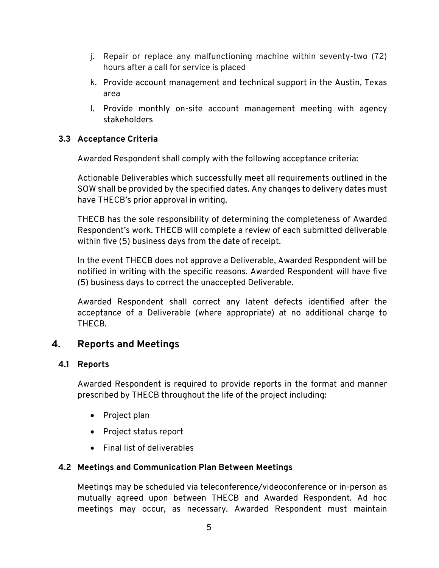- j. Repair or replace any malfunctioning machine within seventy-two (72) hours after a call for service is placed
- k. Provide account management and technical support in the Austin, Texas area
- l. Provide monthly on-site account management meeting with agency stakeholders

#### <span id="page-7-0"></span>**3.3 Acceptance Criteria**

Awarded Respondent shall comply with the following acceptance criteria:

Actionable Deliverables which successfully meet all requirements outlined in the SOW shall be provided by the specified dates. Any changes to delivery dates must have THECB's prior approval in writing.

THECB has the sole responsibility of determining the completeness of Awarded Respondent's work. THECB will complete a review of each submitted deliverable within five (5) business days from the date of receipt.

In the event THECB does not approve a Deliverable, Awarded Respondent will be notified in writing with the specific reasons. Awarded Respondent will have five (5) business days to correct the unaccepted Deliverable.

Awarded Respondent shall correct any latent defects identified after the acceptance of a Deliverable (where appropriate) at no additional charge to THECB.

#### <span id="page-7-1"></span>**4. Reports and Meetings**

#### <span id="page-7-2"></span>**4.1 Reports**

Awarded Respondent is required to provide reports in the format and manner prescribed by THECB throughout the life of the project including:

- Project plan
- Project status report
- Final list of deliverables

#### <span id="page-7-3"></span>**4.2 Meetings and Communication Plan Between Meetings**

Meetings may be scheduled via teleconference/videoconference or in-person as mutually agreed upon between THECB and Awarded Respondent. Ad hoc meetings may occur, as necessary. Awarded Respondent must maintain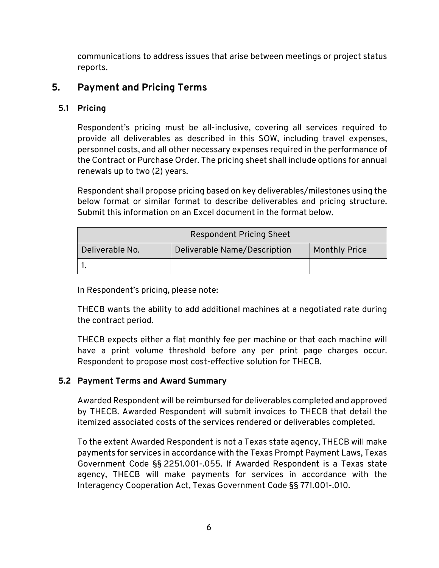communications to address issues that arise between meetings or project status reports.

#### <span id="page-8-0"></span>**5. Payment and Pricing Terms**

#### <span id="page-8-1"></span>**5.1 Pricing**

Respondent's pricing must be all-inclusive, covering all services required to provide all deliverables as described in this SOW, including travel expenses, personnel costs, and all other necessary expenses required in the performance of the Contract or Purchase Order. The pricing sheet shall include options for annual renewals up to two (2) years.

Respondent shall propose pricing based on key deliverables/milestones using the below format or similar format to describe deliverables and pricing structure. Submit this information on an Excel document in the format below.

| <b>Respondent Pricing Sheet</b> |                              |                      |  |  |  |  |  |
|---------------------------------|------------------------------|----------------------|--|--|--|--|--|
| Deliverable No.                 | Deliverable Name/Description | <b>Monthly Price</b> |  |  |  |  |  |
|                                 |                              |                      |  |  |  |  |  |

In Respondent's pricing, please note:

THECB wants the ability to add additional machines at a negotiated rate during the contract period.

THECB expects either a flat monthly fee per machine or that each machine will have a print volume threshold before any per print page charges occur. Respondent to propose most cost-effective solution for THECB.

#### <span id="page-8-2"></span>**5.2 Payment Terms and Award Summary**

Awarded Respondent will be reimbursed for deliverables completed and approved by THECB. Awarded Respondent will submit invoices to THECB that detail the itemized associated costs of the services rendered or deliverables completed.

To the extent Awarded Respondent is not a Texas state agency, THECB will make payments for services in accordance with the Texas Prompt Payment Laws, Texas Government Code §§ 2251.001-.055. If Awarded Respondent is a Texas state agency, THECB will make payments for services in accordance with the Interagency Cooperation Act, Texas Government Code §§ 771.001-.010.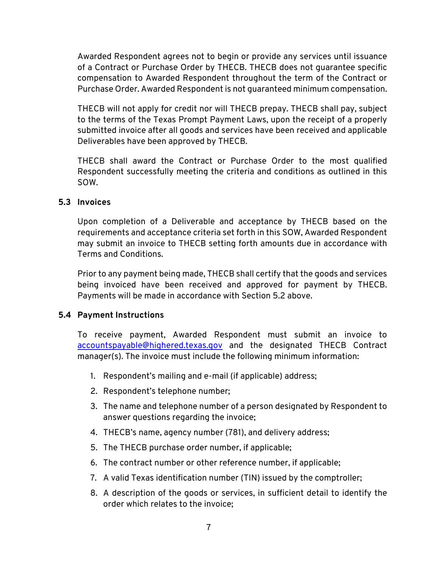Awarded Respondent agrees not to begin or provide any services until issuance of a Contract or Purchase Order by THECB. THECB does not guarantee specific compensation to Awarded Respondent throughout the term of the Contract or Purchase Order. Awarded Respondent is not guaranteed minimum compensation.

THECB will not apply for credit nor will THECB prepay. THECB shall pay, subject to the terms of the Texas Prompt Payment Laws, upon the receipt of a properly submitted invoice after all goods and services have been received and applicable Deliverables have been approved by THECB.

THECB shall award the Contract or Purchase Order to the most qualified Respondent successfully meeting the criteria and conditions as outlined in this SOW.

#### <span id="page-9-0"></span>**5.3 Invoices**

Upon completion of a Deliverable and acceptance by THECB based on the requirements and acceptance criteria set forth in this SOW, Awarded Respondent may submit an invoice to THECB setting forth amounts due in accordance with Terms and Conditions.

Prior to any payment being made, THECB shall certify that the goods and services being invoiced have been received and approved for payment by THECB. Payments will be made in accordance with Section 5.2 above.

#### <span id="page-9-1"></span>**5.4 Payment Instructions**

To receive payment, Awarded Respondent must submit an invoice to [accountspayable@highered.texas.gov](mailto:accountspayable@highered.texas.gov) and the designated THECB Contract manager(s). The invoice must include the following minimum information:

- 1. Respondent's mailing and e-mail (if applicable) address;
- 2. Respondent's telephone number;
- 3. The name and telephone number of a person designated by Respondent to answer questions regarding the invoice;
- 4. THECB's name, agency number (781), and delivery address;
- 5. The THECB purchase order number, if applicable;
- 6. The contract number or other reference number, if applicable;
- 7. A valid Texas identification number (TIN) issued by the comptroller;
- 8. A description of the goods or services, in sufficient detail to identify the order which relates to the invoice;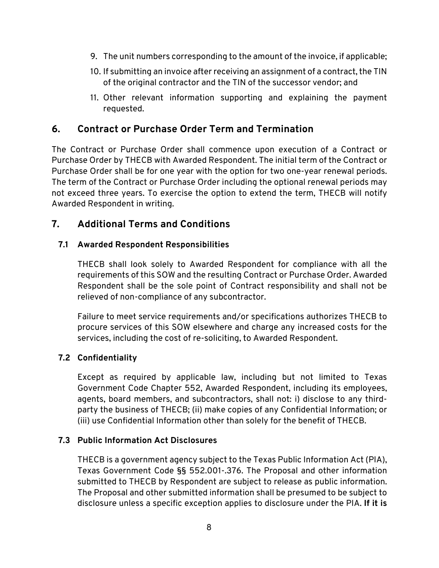- 9. The unit numbers corresponding to the amount of the invoice, if applicable;
- 10. If submitting an invoice after receiving an assignment of a contract, the TIN of the original contractor and the TIN of the successor vendor; and
- 11. Other relevant information supporting and explaining the payment requested.

#### <span id="page-10-0"></span>**6. Contract or Purchase Order Term and Termination**

The Contract or Purchase Order shall commence upon execution of a Contract or Purchase Order by THECB with Awarded Respondent. The initial term of the Contract or Purchase Order shall be for one year with the option for two one-year renewal periods. The term of the Contract or Purchase Order including the optional renewal periods may not exceed three years. To exercise the option to extend the term, THECB will notify Awarded Respondent in writing.

#### <span id="page-10-1"></span>**7. Additional Terms and Conditions**

#### <span id="page-10-2"></span>**7.1 Awarded Respondent Responsibilities**

THECB shall look solely to Awarded Respondent for compliance with all the requirements of this SOW and the resulting Contract or Purchase Order. Awarded Respondent shall be the sole point of Contract responsibility and shall not be relieved of non-compliance of any subcontractor.

Failure to meet service requirements and/or specifications authorizes THECB to procure services of this SOW elsewhere and charge any increased costs for the services, including the cost of re-soliciting, to Awarded Respondent.

#### <span id="page-10-3"></span>**7.2 Confidentiality**

Except as required by applicable law, including but not limited to Texas Government Code Chapter 552, Awarded Respondent, including its employees, agents, board members, and subcontractors, shall not: i) disclose to any thirdparty the business of THECB; (ii) make copies of any Confidential Information; or (iii) use Confidential Information other than solely for the benefit of THECB.

#### <span id="page-10-4"></span>**7.3 Public Information Act Disclosures**

THECB is a government agency subject to the Texas Public Information Act (PIA), Texas Government Code §§ 552.001-.376. The Proposal and other information submitted to THECB by Respondent are subject to release as public information. The Proposal and other submitted information shall be presumed to be subject to disclosure unless a specific exception applies to disclosure under the PIA. **If it is**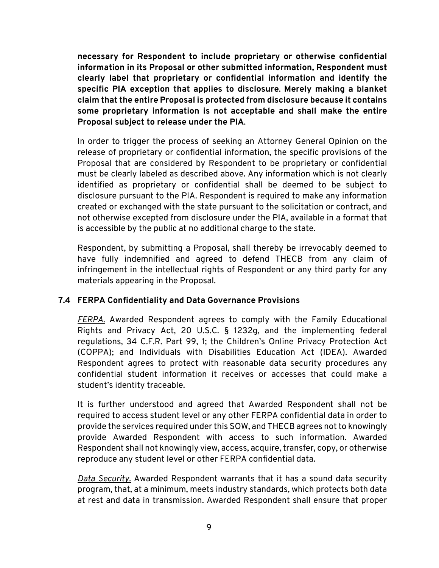**necessary for Respondent to include proprietary or otherwise confidential information in its Proposal or other submitted information, Respondent must clearly label that proprietary or confidential information and identify the specific PIA exception that applies to disclosure**. **Merely making a blanket claim that the entire Proposal is protected from disclosure because it contains some proprietary information is not acceptable and shall make the entire Proposal subject to release under the PIA**.

In order to trigger the process of seeking an Attorney General Opinion on the release of proprietary or confidential information, the specific provisions of the Proposal that are considered by Respondent to be proprietary or confidential must be clearly labeled as described above. Any information which is not clearly identified as proprietary or confidential shall be deemed to be subject to disclosure pursuant to the PIA. Respondent is required to make any information created or exchanged with the state pursuant to the solicitation or contract, and not otherwise excepted from disclosure under the PIA, available in a format that is accessible by the public at no additional charge to the state.

Respondent, by submitting a Proposal, shall thereby be irrevocably deemed to have fully indemnified and agreed to defend THECB from any claim of infringement in the intellectual rights of Respondent or any third party for any materials appearing in the Proposal.

#### <span id="page-11-0"></span>**7.4 FERPA Confidentiality and Data Governance Provisions**

*FERPA.* Awarded Respondent agrees to comply with the Family Educational Rights and Privacy Act, 20 U.S.C. § 1232g, and the implementing federal regulations, 34 C.F.R. Part 99, 1; the Children's Online Privacy Protection Act (COPPA); and Individuals with Disabilities Education Act (IDEA). Awarded Respondent agrees to protect with reasonable data security procedures any confidential student information it receives or accesses that could make a student's identity traceable.

It is further understood and agreed that Awarded Respondent shall not be required to access student level or any other FERPA confidential data in order to provide the services required under this SOW, and THECB agrees not to knowingly provide Awarded Respondent with access to such information. Awarded Respondent shall not knowingly view, access, acquire, transfer, copy, or otherwise reproduce any student level or other FERPA confidential data.

*Data Security.* Awarded Respondent warrants that it has a sound data security program, that, at a minimum, meets industry standards, which protects both data at rest and data in transmission. Awarded Respondent shall ensure that proper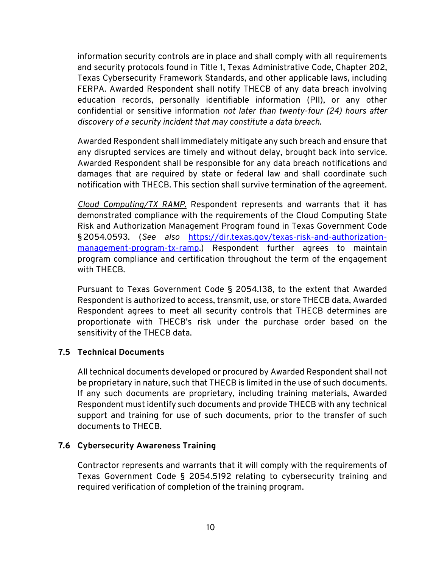information security controls are in place and shall comply with all requirements and security protocols found in Title 1, Texas Administrative Code, Chapter 202, Texas Cybersecurity Framework Standards, and other applicable laws, including FERPA. Awarded Respondent shall notify THECB of any data breach involving education records, personally identifiable information (PII), or any other confidential or sensitive information *not later than twenty-four (24) hours after discovery of a security incident that may constitute a data breach*.

Awarded Respondent shall immediately mitigate any such breach and ensure that any disrupted services are timely and without delay, brought back into service. Awarded Respondent shall be responsible for any data breach notifications and damages that are required by state or federal law and shall coordinate such notification with THECB. This section shall survive termination of the agreement.

*Cloud Computing/TX RAMP.* Respondent represents and warrants that it has demonstrated compliance with the requirements of the Cloud Computing State Risk and Authorization Management Program found in Texas Government Code § 2054.0593. (*See also* [https://dir.texas.gov/texas-risk-and-authorization](https://dir.texas.gov/texas-risk-and-authorization-management-program-tx-ramp)[management-program-tx-ramp.](https://dir.texas.gov/texas-risk-and-authorization-management-program-tx-ramp)) Respondent further agrees to maintain program compliance and certification throughout the term of the engagement with THECB.

Pursuant to Texas Government Code § 2054.138, to the extent that Awarded Respondent is authorized to access, transmit, use, or store THECB data, Awarded Respondent agrees to meet all security controls that THECB determines are proportionate with THECB's risk under the purchase order based on the sensitivity of the THECB data.

#### <span id="page-12-0"></span>**7.5 Technical Documents**

All technical documents developed or procured by Awarded Respondent shall not be proprietary in nature, such that THECB is limited in the use of such documents. If any such documents are proprietary, including training materials, Awarded Respondent must identify such documents and provide THECB with any technical support and training for use of such documents, prior to the transfer of such documents to THECB.

#### <span id="page-12-1"></span>**7.6 Cybersecurity Awareness Training**

Contractor represents and warrants that it will comply with the requirements of Texas Government Code § 2054.5192 relating to cybersecurity training and required verification of completion of the training program.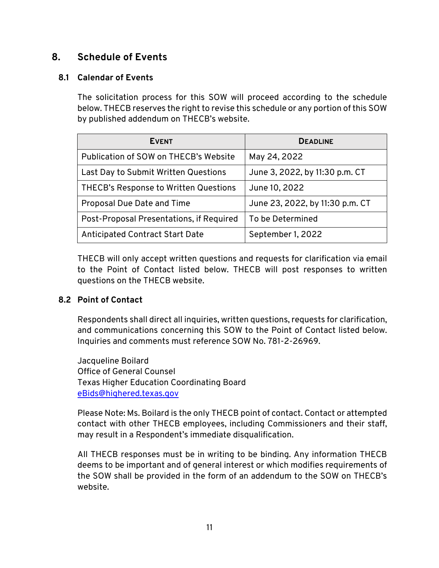#### <span id="page-13-0"></span>**8. Schedule of Events**

#### <span id="page-13-1"></span>**8.1 Calendar of Events**

The solicitation process for this SOW will proceed according to the schedule below. THECB reserves the right to revise this schedule or any portion of this SOW by published addendum on THECB's website.

| <b>EVENT</b>                             | <b>DEADLINE</b>                 |
|------------------------------------------|---------------------------------|
| Publication of SOW on THECB's Website    | May 24, 2022                    |
| Last Day to Submit Written Questions     | June 3, 2022, by 11:30 p.m. CT  |
| THECB's Response to Written Questions    | June 10, 2022                   |
| Proposal Due Date and Time               | June 23, 2022, by 11:30 p.m. CT |
| Post-Proposal Presentations, if Required | To be Determined                |
| <b>Anticipated Contract Start Date</b>   | September 1, 2022               |

THECB will only accept written questions and requests for clarification via email to the Point of Contact listed below. THECB will post responses to written questions on the THECB website.

#### <span id="page-13-2"></span>**8.2 Point of Contact**

Respondents shall direct all inquiries, written questions, requests for clarification, and communications concerning this SOW to the Point of Contact listed below. Inquiries and comments must reference SOW No. 781-2-26969.

Jacqueline Boilard Office of General Counsel Texas Higher Education Coordinating Board [eBids@highered.texas.gov](mailto:eBids@highered.texas.gov)

Please Note: Ms. Boilard is the only THECB point of contact. Contact or attempted contact with other THECB employees, including Commissioners and their staff, may result in a Respondent's immediate disqualification.

All THECB responses must be in writing to be binding. Any information THECB deems to be important and of general interest or which modifies requirements of the SOW shall be provided in the form of an addendum to the SOW on THECB's website.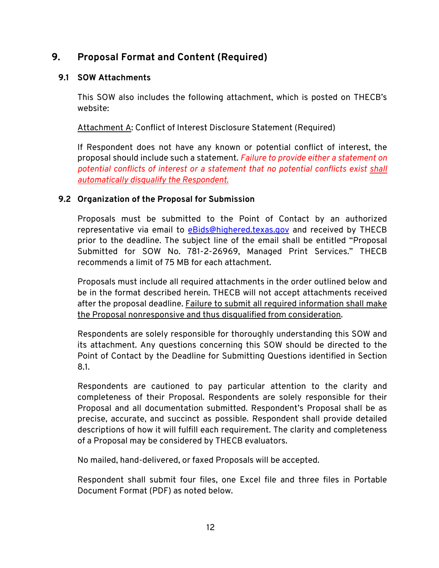#### <span id="page-14-0"></span>**9. Proposal Format and Content (Required)**

#### <span id="page-14-1"></span>**9.1 SOW Attachments**

This SOW also includes the following attachment, which is posted on THECB's website:

Attachment A: Conflict of Interest Disclosure Statement (Required)

If Respondent does not have any known or potential conflict of interest, the proposal should include such a statement. *Failure to provide either a statement on potential conflicts of interest or a statement that no potential conflicts exist shall automatically disqualify the Respondent.*

#### <span id="page-14-2"></span>**9.2 Organization of the Proposal for Submission**

Proposals must be submitted to the Point of Contact by an authorized representative via email to [eBids@highered.texas.gov](mailto:eBids@highered.texas.gov) and received by THECB prior to the deadline. The subject line of the email shall be entitled "Proposal Submitted for SOW No. 781-2-26969, Managed Print Services." THECB recommends a limit of 75 MB for each attachment.

Proposals must include all required attachments in the order outlined below and be in the format described herein. THECB will not accept attachments received after the proposal deadline. Failure to submit all required information shall make the Proposal nonresponsive and thus disqualified from consideration.

Respondents are solely responsible for thoroughly understanding this SOW and its attachment. Any questions concerning this SOW should be directed to the Point of Contact by the Deadline for Submitting Questions identified in Section 8.1.

Respondents are cautioned to pay particular attention to the clarity and completeness of their Proposal. Respondents are solely responsible for their Proposal and all documentation submitted. Respondent's Proposal shall be as precise, accurate, and succinct as possible. Respondent shall provide detailed descriptions of how it will fulfill each requirement. The clarity and completeness of a Proposal may be considered by THECB evaluators.

No mailed, hand-delivered, or faxed Proposals will be accepted.

Respondent shall submit four files, one Excel file and three files in Portable Document Format (PDF) as noted below.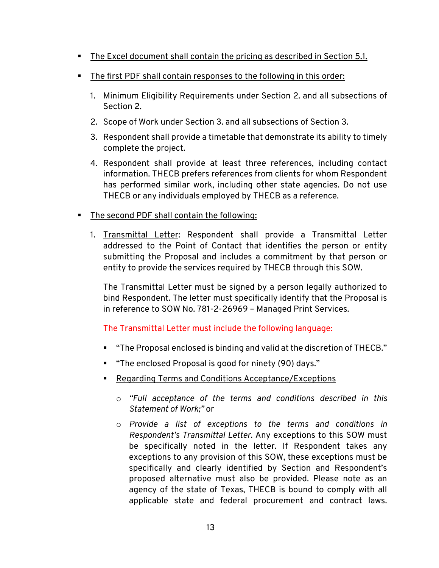- The Excel document shall contain the pricing as described in Section 5.1.
- The first PDF shall contain responses to the following in this order:
	- 1. Minimum Eligibility Requirements under Section 2. and all subsections of Section 2.
	- 2. Scope of Work under Section 3. and all subsections of Section 3.
	- 3. Respondent shall provide a timetable that demonstrate its ability to timely complete the project.
	- 4. Respondent shall provide at least three references, including contact information. THECB prefers references from clients for whom Respondent has performed similar work, including other state agencies. Do not use THECB or any individuals employed by THECB as a reference.
- The second PDF shall contain the following:
	- 1. Transmittal Letter: Respondent shall provide a Transmittal Letter addressed to the Point of Contact that identifies the person or entity submitting the Proposal and includes a commitment by that person or entity to provide the services required by THECB through this SOW.

The Transmittal Letter must be signed by a person legally authorized to bind Respondent. The letter must specifically identify that the Proposal is in reference to SOW No. 781-2-26969 – Managed Print Services.

#### The Transmittal Letter must include the following language:

- "The Proposal enclosed is binding and valid at the discretion of THECB."
- "The enclosed Proposal is good for ninety (90) days."
- **Regarding Terms and Conditions Acceptance/Exceptions** 
	- o *"Full acceptance of the terms and conditions described in this Statement of Work;"* or
	- o *Provide a list of exceptions to the terms and conditions in Respondent's Transmittal Letter.* Any exceptions to this SOW must be specifically noted in the letter. If Respondent takes any exceptions to any provision of this SOW, these exceptions must be specifically and clearly identified by Section and Respondent's proposed alternative must also be provided. Please note as an agency of the state of Texas, THECB is bound to comply with all applicable state and federal procurement and contract laws.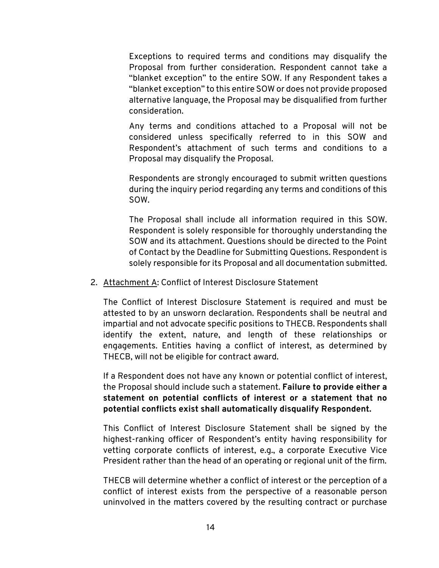Exceptions to required terms and conditions may disqualify the Proposal from further consideration. Respondent cannot take a "blanket exception" to the entire SOW. If any Respondent takes a "blanket exception" to this entire SOW or does not provide proposed alternative language, the Proposal may be disqualified from further consideration.

Any terms and conditions attached to a Proposal will not be considered unless specifically referred to in this SOW and Respondent's attachment of such terms and conditions to a Proposal may disqualify the Proposal.

Respondents are strongly encouraged to submit written questions during the inquiry period regarding any terms and conditions of this SOW.

The Proposal shall include all information required in this SOW. Respondent is solely responsible for thoroughly understanding the SOW and its attachment. Questions should be directed to the Point of Contact by the Deadline for Submitting Questions. Respondent is solely responsible for its Proposal and all documentation submitted.

#### 2. Attachment A: Conflict of Interest Disclosure Statement

The Conflict of Interest Disclosure Statement is required and must be attested to by an unsworn declaration. Respondents shall be neutral and impartial and not advocate specific positions to THECB. Respondents shall identify the extent, nature, and length of these relationships or engagements. Entities having a conflict of interest, as determined by THECB, will not be eligible for contract award.

If a Respondent does not have any known or potential conflict of interest, the Proposal should include such a statement. **Failure to provide either a statement on potential conflicts of interest or a statement that no potential conflicts exist shall automatically disqualify Respondent.**

This Conflict of Interest Disclosure Statement shall be signed by the highest-ranking officer of Respondent's entity having responsibility for vetting corporate conflicts of interest, e.g., a corporate Executive Vice President rather than the head of an operating or regional unit of the firm.

THECB will determine whether a conflict of interest or the perception of a conflict of interest exists from the perspective of a reasonable person uninvolved in the matters covered by the resulting contract or purchase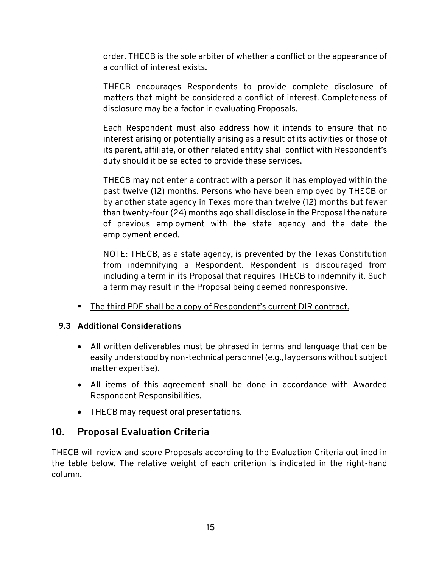order. THECB is the sole arbiter of whether a conflict or the appearance of a conflict of interest exists.

THECB encourages Respondents to provide complete disclosure of matters that might be considered a conflict of interest. Completeness of disclosure may be a factor in evaluating Proposals.

Each Respondent must also address how it intends to ensure that no interest arising or potentially arising as a result of its activities or those of its parent, affiliate, or other related entity shall conflict with Respondent's duty should it be selected to provide these services.

THECB may not enter a contract with a person it has employed within the past twelve (12) months. Persons who have been employed by THECB or by another state agency in Texas more than twelve (12) months but fewer than twenty-four (24) months ago shall disclose in the Proposal the nature of previous employment with the state agency and the date the employment ended.

NOTE: THECB, as a state agency, is prevented by the Texas Constitution from indemnifying a Respondent. Respondent is discouraged from including a term in its Proposal that requires THECB to indemnify it. Such a term may result in the Proposal being deemed nonresponsive.

The third PDF shall be a copy of Respondent's current DIR contract.

#### <span id="page-17-0"></span>**9.3 Additional Considerations**

- All written deliverables must be phrased in terms and language that can be easily understood by non-technical personnel (e.g., laypersons without subject matter expertise).
- All items of this agreement shall be done in accordance with Awarded Respondent Responsibilities.
- THECB may request oral presentations.

#### <span id="page-17-1"></span>**10. Proposal Evaluation Criteria**

THECB will review and score Proposals according to the Evaluation Criteria outlined in the table below. The relative weight of each criterion is indicated in the right-hand column.